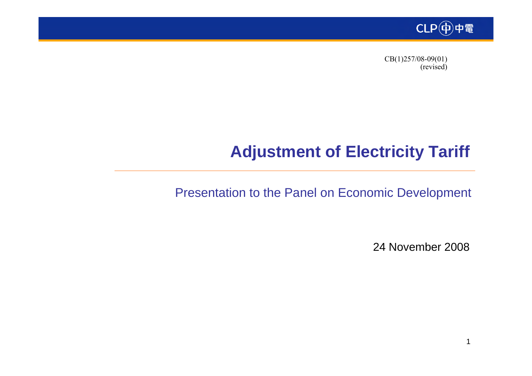

 CB(1)257/08-09(01) (revised)

# **Adjustment of Electricity Tariff**

Presentation to the Panel on Economic Development

24 November 2008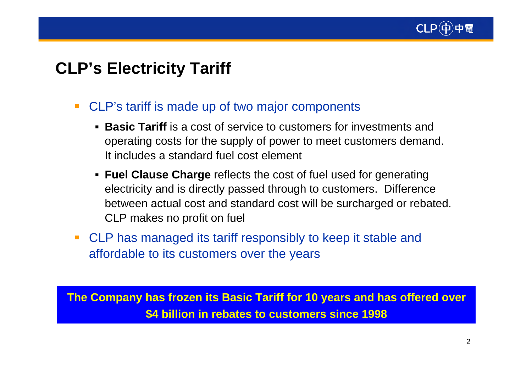

# **CLP's Electricity Tariff**

- $\overline{\phantom{a}}$  CLP's tariff is made up of two major components
	- **Basic Tariff** is a cost of service to customers for investments and operating costs for the supply of power to meet customers demand. It includes a standard fuel cost element
	- **Fuel Clause Charge** reflects the cost of fuel used for generating electricity and is directly passed through to customers. Difference between actual cost and standard cost will be surcharged or rebated. CLP makes no profit on fuel
- $\overline{\phantom{a}}$  CLP has managed its tariff responsibly to keep it stable and affordable to its customers over the years

**The Company has frozen its Basic Tariff for 10 years and has offered over \$4 billion in rebates to customers since 1998**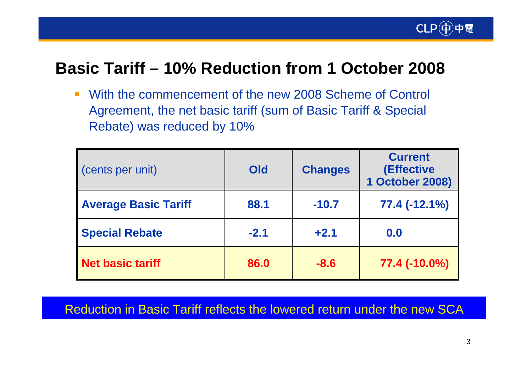

# **Basic Tariff – 10% Reduction from 1 October 2008**

 $\overline{\mathcal{L}^{\mathcal{A}}}$  With the commencement of the new 2008 Scheme of Control Agreement, the net basic tariff (sum of Basic Tariff & Special Rebate) was reduced by 10%

| (cents per unit)            | Old    | <b>Changes</b> | <b>Current</b><br>(Effective<br>1 October 2008) |
|-----------------------------|--------|----------------|-------------------------------------------------|
| <b>Average Basic Tariff</b> | 88.1   | $-10.7$        | 77.4 (-12.1%)                                   |
| <b>Special Rebate</b>       | $-2.1$ | $+2.1$         | 0.0                                             |
| Net basic tariff            | 86.0   | $-8.6$         | 77.4 (-10.0%)                                   |

Reduction in Basic Tariff reflects the lowered return under the new SCA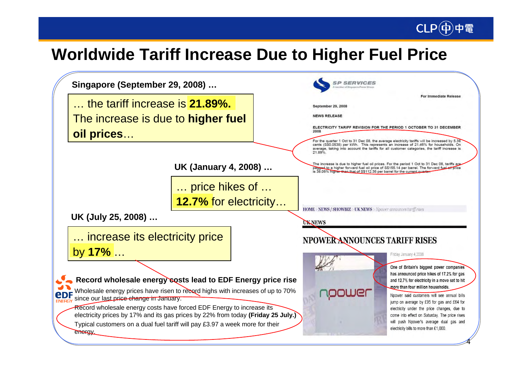# **Worldwide Tariff Increase Due to Higher Fuel Price**

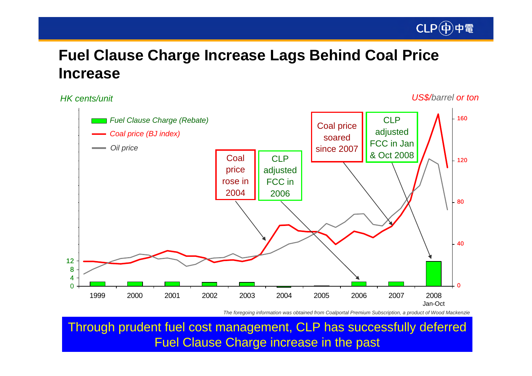

## **Fuel Clause Charge Increase Lags Behind Coal Price Increase**

*HK cents/unit*

*US\$/barrel or ton*



*The foregoing information was obtained from Coalportal Premium Subscription, a product of Wood Mackenzie*

Through prudent fuel cost management, CLP has successfully deferred Fuel Clause Charge increase in the past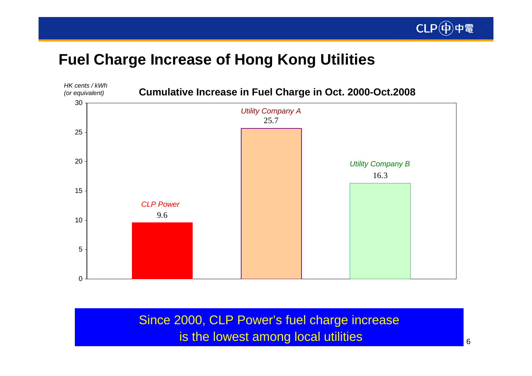

## **Fuel Charge Increase of Hong Kong Utilities**



Since 2000, CLP Power's fuel charge increase is the lowest among local utilities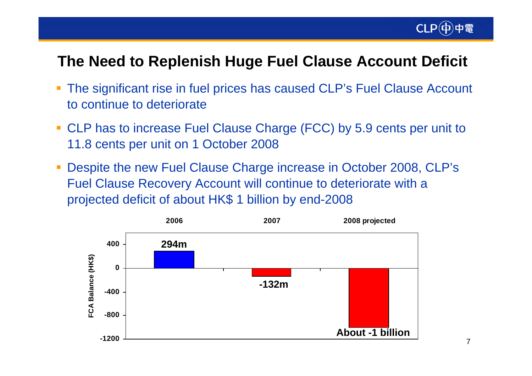

### **The Need to Replenish Huge Fuel Clause Account Deficit**

- The significant rise in fuel prices has caused CLP's Fuel Clause Account to continue to deteriorate
- CLP has to increase Fuel Clause Charge (FCC) by 5.9 cents per unit to 11.8 cents per unit on 1 October 2008
- $\mathcal{L}_{\mathcal{A}}$  Despite the new Fuel Clause Charge increase in October 2008, CLP's Fuel Clause Recovery Account will continue to deteriorate with a projected deficit of about HK\$ 1 billion by end-2008

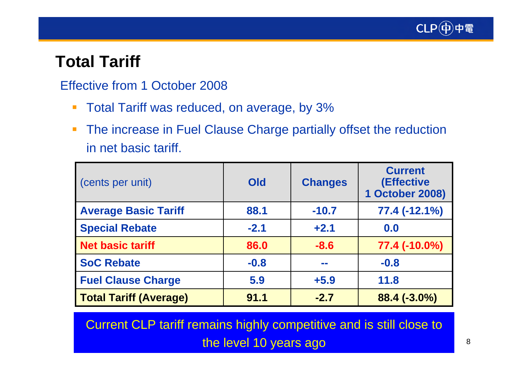

# **Total Tariff**

#### Effective from 1 October 2008

- $\overline{\phantom{a}}$ Total Tariff was reduced, on average, by 3%
- $\mathcal{L}_{\mathcal{A}}$  The increase in Fuel Clause Charge partially offset the reduction in net basic tariff.

| (cents per unit)              | Old    | <b>Changes</b> | <b>Current</b><br>(Effective<br><b>1 October 2008)</b> |
|-------------------------------|--------|----------------|--------------------------------------------------------|
| <b>Average Basic Tariff</b>   | 88.1   | $-10.7$        | 77.4 (-12.1%)                                          |
| <b>Special Rebate</b>         | $-2.1$ | $+2.1$         | 0.0                                                    |
| <b>Net basic tariff</b>       | 86.0   | $-8.6$         | 77.4 (-10.0%)                                          |
| <b>SoC Rebate</b>             | $-0.8$ | an an          | $-0.8$                                                 |
| <b>Fuel Clause Charge</b>     | 5.9    | $+5.9$         | 11.8                                                   |
| <b>Total Tariff (Average)</b> | 91.1   | $-2.7$         | $88.4(-3.0\%)$                                         |

Current CLP tariff remains highly competitive and is still close to the level 10 years ago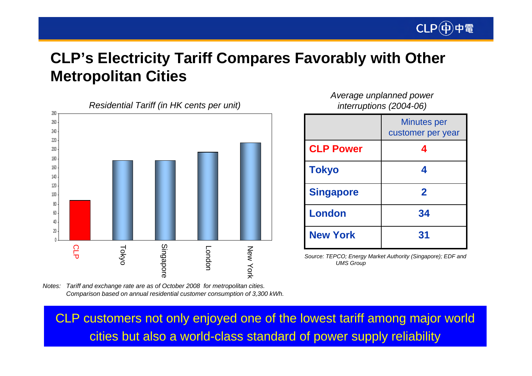

# **CLP's Electricity Tariff Compares Favorably with Other Metropolitan Cities**



*Average unplanned power interruptions (2004-06)*

|                  | Minutes per<br>customer per year |
|------------------|----------------------------------|
| <b>CLP Power</b> | 4                                |
| <b>Tokyo</b>     | 4                                |
| <b>Singapore</b> | $\mathbf 2$                      |
| <b>London</b>    | 34                               |
| <b>New York</b>  | 31                               |

*Source: TEPCO; Energy Market Authority (Singapore); EDF and UMS Group*

*Tariff and exchange rate are as of October 2008 for metropolitan cities. Notes: Comparison based on annual residential customer consumption of 3,300 kWh.*

CLP customers not only enjoyed one of the lowest tariff among major world cities but also a world-class standard of power supply reliability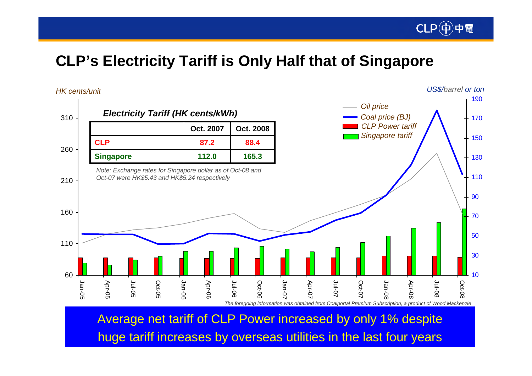

# **CLP's Electricity Tariff is Only Half that of Singapore**



Average net tariff of CLP Power increased by only 1% despite huge tariff increases by overseas utilities in the last four years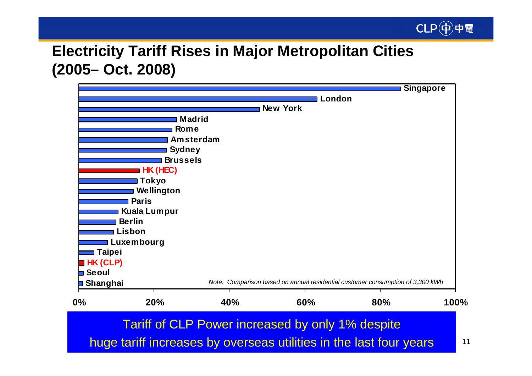

# **Electricity Tariff Rises in Major Metropolitan Cities (2005– Oct. 2008)**